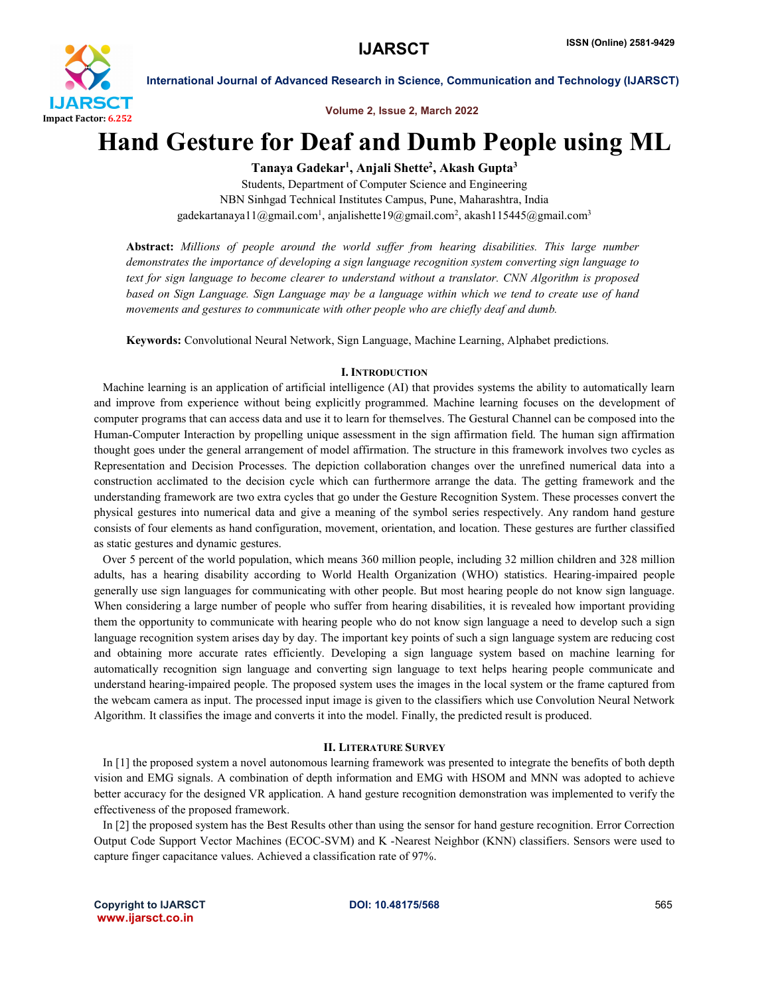

International Journal of Advanced Research in Science, Communication and Technology (IJARSCT)

Volume 2, Issue 2, March 2022

# Hand Gesture for Deaf and Dumb People using ML

Tanaya Gadekar<sup>ı</sup>, Anjali Shette<sup>2</sup>, Akash Gupta<sup>3</sup>

Students, Department of Computer Science and Engineering NBN Sinhgad Technical Institutes Campus, Pune, Maharashtra, India gadekartanaya11@gmail.com<sup>1</sup>, anjalishette19@gmail.com<sup>2</sup>, akash115445@gmail.com<sup>3</sup>

Abstract: *Millions of people around the world suffer from hearing disabilities. This large number demonstrates the importance of developing a sign language recognition system converting sign language to text for sign language to become clearer to understand without a translator. CNN Algorithm is proposed based on Sign Language. Sign Language may be a language within which we tend to create use of hand movements and gestures to communicate with other people who are chiefly deaf and dumb.*

Keywords: Convolutional Neural Network, Sign Language, Machine Learning, Alphabet predictions.

## I.INTRODUCTION

 Machine learning is an application of artificial intelligence (AI) that provides systems the ability to automatically learn and improve from experience without being explicitly programmed. Machine learning focuses on the development of computer programs that can access data and use it to learn for themselves. The Gestural Channel can be composed into the Human-Computer Interaction by propelling unique assessment in the sign affirmation field. The human sign affirmation thought goes under the general arrangement of model affirmation. The structure in this framework involves two cycles as Representation and Decision Processes. The depiction collaboration changes over the unrefined numerical data into a construction acclimated to the decision cycle which can furthermore arrange the data. The getting framework and the understanding framework are two extra cycles that go under the Gesture Recognition System. These processes convert the physical gestures into numerical data and give a meaning of the symbol series respectively. Any random hand gesture consists of four elements as hand configuration, movement, orientation, and location. These gestures are further classified as static gestures and dynamic gestures.

 Over 5 percent of the world population, which means 360 million people, including 32 million children and 328 million adults, has a hearing disability according to World Health Organization (WHO) statistics. Hearing-impaired people generally use sign languages for communicating with other people. But most hearing people do not know sign language. When considering a large number of people who suffer from hearing disabilities, it is revealed how important providing them the opportunity to communicate with hearing people who do not know sign language a need to develop such a sign language recognition system arises day by day. The important key points of such a sign language system are reducing cost and obtaining more accurate rates efficiently. Developing a sign language system based on machine learning for automatically recognition sign language and converting sign language to text helps hearing people communicate and understand hearing-impaired people. The proposed system uses the images in the local system or the frame captured from the webcam camera as input. The processed input image is given to the classifiers which use Convolution Neural Network Algorithm. It classifies the image and converts it into the model. Finally, the predicted result is produced.

# II. LITERATURE SURVEY

 In [1] the proposed system a novel autonomous learning framework was presented to integrate the benefits of both depth vision and EMG signals. A combination of depth information and EMG with HSOM and MNN was adopted to achieve better accuracy for the designed VR application. A hand gesture recognition demonstration was implemented to verify the effectiveness of the proposed framework.

 In [2] the proposed system has the Best Results other than using the sensor for hand gesture recognition. Error Correction Output Code Support Vector Machines (ECOC-SVM) and K -Nearest Neighbor (KNN) classifiers. Sensors were used to capture finger capacitance values. Achieved a classification rate of 97%.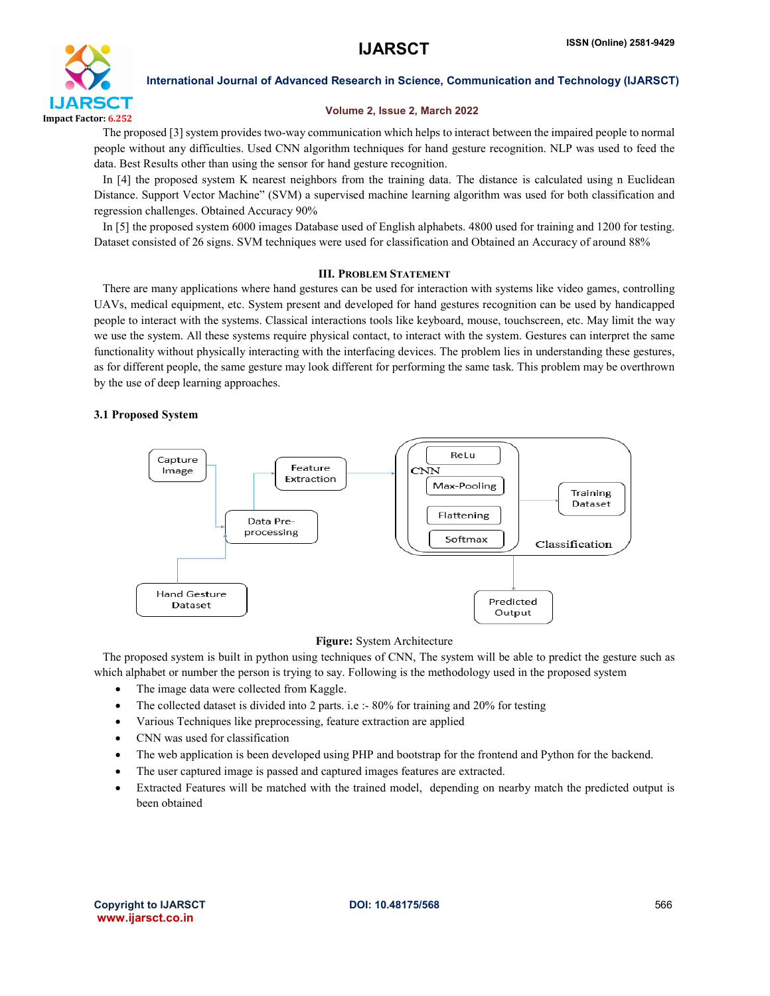

International Journal of Advanced Research in Science, Communication and Technology (IJARSCT)

# Volume 2, Issue 2, March 2022

 The proposed [3] system provides two-way communication which helps to interact between the impaired people to normal people without any difficulties. Used CNN algorithm techniques for hand gesture recognition. NLP was used to feed the data. Best Results other than using the sensor for hand gesture recognition.

In [4] the proposed system K nearest neighbors from the training data. The distance is calculated using n Euclidean Distance. Support Vector Machine" (SVM) a supervised machine learning algorithm was used for both classification and regression challenges. Obtained Accuracy 90%

 In [5] the proposed system 6000 images Database used of English alphabets. 4800 used for training and 1200 for testing. Dataset consisted of 26 signs. SVM techniques were used for classification and Obtained an Accuracy of around 88%

# III. PROBLEM STATEMENT

 There are many applications where hand gestures can be used for interaction with systems like video games, controlling UAVs, medical equipment, etc. System present and developed for hand gestures recognition can be used by handicapped people to interact with the systems. Classical interactions tools like keyboard, mouse, touchscreen, etc. May limit the way we use the system. All these systems require physical contact, to interact with the system. Gestures can interpret the same functionality without physically interacting with the interfacing devices. The problem lies in understanding these gestures, as for different people, the same gesture may look different for performing the same task. This problem may be overthrown by the use of deep learning approaches.

# 3.1 Proposed System



# Figure: System Architecture

 The proposed system is built in python using techniques of CNN, The system will be able to predict the gesture such as which alphabet or number the person is trying to say. Following is the methodology used in the proposed system

- The image data were collected from Kaggle.
- The collected dataset is divided into 2 parts. i.e :- 80% for training and 20% for testing
- Various Techniques like preprocessing, feature extraction are applied
- CNN was used for classification
- The web application is been developed using PHP and bootstrap for the frontend and Python for the backend.
- The user captured image is passed and captured images features are extracted.
- Extracted Features will be matched with the trained model, depending on nearby match the predicted output is been obtained